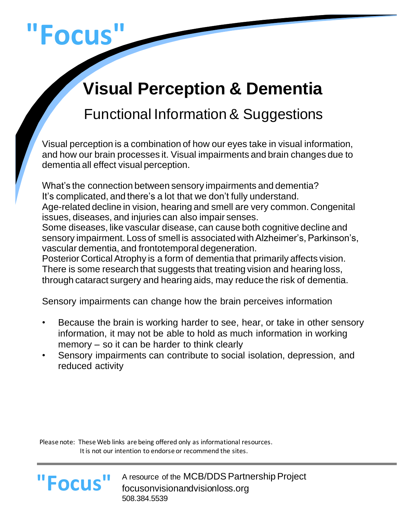# **"Focus"**

## **Visual Perception & Dementia**

### Functional Information& Suggestions

Visual perception is a combination of how our eyes take in visual information, and how our brain processes it. Visual impairments and brain changes due to dementia all effect visual perception.

What's the connection between sensory impairments and dementia? It's complicated, and there's a lot that we don't fully understand. Age-related decline in vision, hearing and smell are very common. Congenital issues, diseases, and injuries can also impair senses. Some diseases, like vascular disease, can cause both cognitive decline and sensory impairment. Loss of smell is associated with Alzheimer's, Parkinson's, vascular dementia, and frontotemporal degeneration. Posterior Cortical Atrophy is a form of dementia that primarily affects vision. There is some research that suggests that treating vision and hearing loss, through cataract surgery and hearing aids, may reduce the risk of dementia.

Sensory impairments can change how the brain perceives information

- Because the brain is working harder to see, hear, or take in other sensory information, it may not be able to hold as much information in working memory – so it can be harder to think clearly
- Sensory impairments can contribute to social isolation, depression, and reduced activity

 Please note: These Web links are being offered only as informational resources. It is not our intention to endorse or recommend the sites.

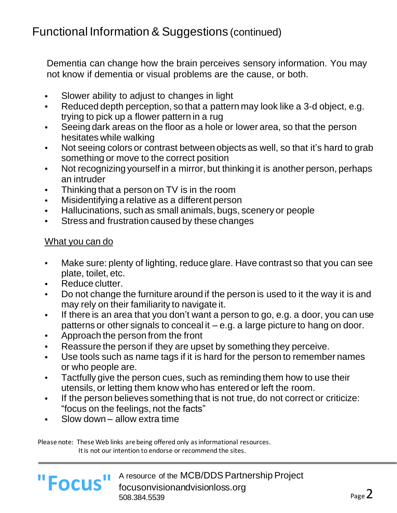Dementia can change how the brain perceives sensory information. You may not know if dementia or visual problems are the cause, or both.

- Slower ability to adjust to changes in light
- Reduced depth perception, so that a pattern may look like a 3-d object, e.g. trying to pick up a flower pattern in a rug
- Seeing dark areas on the floor as a hole or lower area, so that the person hesitates while walking
- Not seeing colors or contrast between objects as well, so that it's hard to grab something or move to the correct position
- Not recognizing yourself in a mirror, but thinking it is another person, perhaps an intruder
- Thinking that a person on TV is in the room
- Misidentifying a relative as a different person
- Hallucinations, such as small animals, bugs, scenery or people
- Stress and frustration caused by these changes

#### What you can do

- Make sure: plenty of lighting, reduce glare. Have contrast so that you can see plate, toilet, etc.
- Reduce clutter.
- Do not change the furniture around if the person is used to it the way it is and may rely on their familiarity to navigate it.
- If there is an area that you don't want a person to go, e.g. a door, you can use patterns or other signals to conceal it – e.g. a large picture to hang on door.
- Approach the person from the front
- Reassure the person if they are upset by something they perceive.
- Use tools such as name tags if it is hard for the person to remember names or who people are.
- Tactfully give the person cues, such as reminding them how to use their utensils, or letting them know who has entered or left the room.
- If the person believes something that is not true, do not correct or criticize: "focus on the feelings, not the facts"
- Slow down allow extra time

 Please note: These Web links are being offered only as informational resources. It is not our intention to endorse or recommend the sites.



L